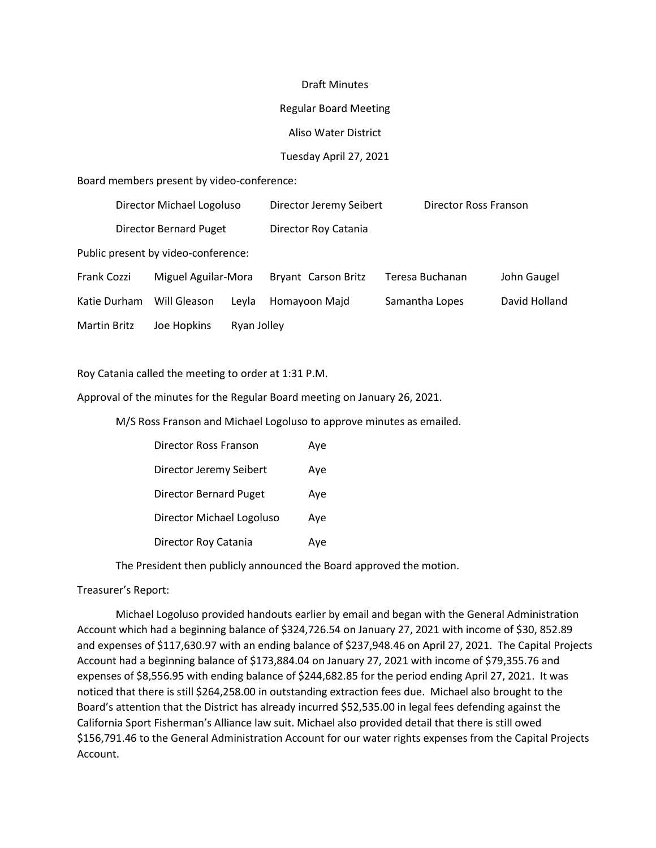#### Draft Minutes

#### Regular Board Meeting

### Aliso Water District

### Tuesday April 27, 2021

Board members present by video-conference:

|                                     | Director Michael Logoluso     |                     | Director Jeremy Seibert | Director Ross Franson |                 |               |
|-------------------------------------|-------------------------------|---------------------|-------------------------|-----------------------|-----------------|---------------|
|                                     | <b>Director Bernard Puget</b> |                     | Director Roy Catania    |                       |                 |               |
| Public present by video-conference: |                               |                     |                         |                       |                 |               |
| Frank Cozzi                         |                               | Miguel Aguilar-Mora |                         | Bryant Carson Britz   | Teresa Buchanan | John Gaugel   |
| Katie Durham                        |                               | Will Gleason        | Leyla                   | Homayoon Majd         | Samantha Lopes  | David Holland |
| Martin Britz                        |                               | Joe Hopkins         | Ryan Jolley             |                       |                 |               |
|                                     |                               |                     |                         |                       |                 |               |

Roy Catania called the meeting to order at 1:31 P.M.

Approval of the minutes for the Regular Board meeting on January 26, 2021.

M/S Ross Franson and Michael Logoluso to approve minutes as emailed.

| Director Ross Franson         | Aye |
|-------------------------------|-----|
| Director Jeremy Seibert       | Aye |
| <b>Director Bernard Puget</b> | Aye |
| Director Michael Logoluso     | Ave |
| Director Roy Catania          | Ave |

The President then publicly announced the Board approved the motion.

### Treasurer's Report:

 Michael Logoluso provided handouts earlier by email and began with the General Administration Account which had a beginning balance of \$324,726.54 on January 27, 2021 with income of \$30, 852.89 and expenses of \$117,630.97 with an ending balance of \$237,948.46 on April 27, 2021. The Capital Projects Account had a beginning balance of \$173,884.04 on January 27, 2021 with income of \$79,355.76 and expenses of \$8,556.95 with ending balance of \$244,682.85 for the period ending April 27, 2021. It was noticed that there is still \$264,258.00 in outstanding extraction fees due. Michael also brought to the Board's attention that the District has already incurred \$52,535.00 in legal fees defending against the California Sport Fisherman's Alliance law suit. Michael also provided detail that there is still owed \$156,791.46 to the General Administration Account for our water rights expenses from the Capital Projects Account.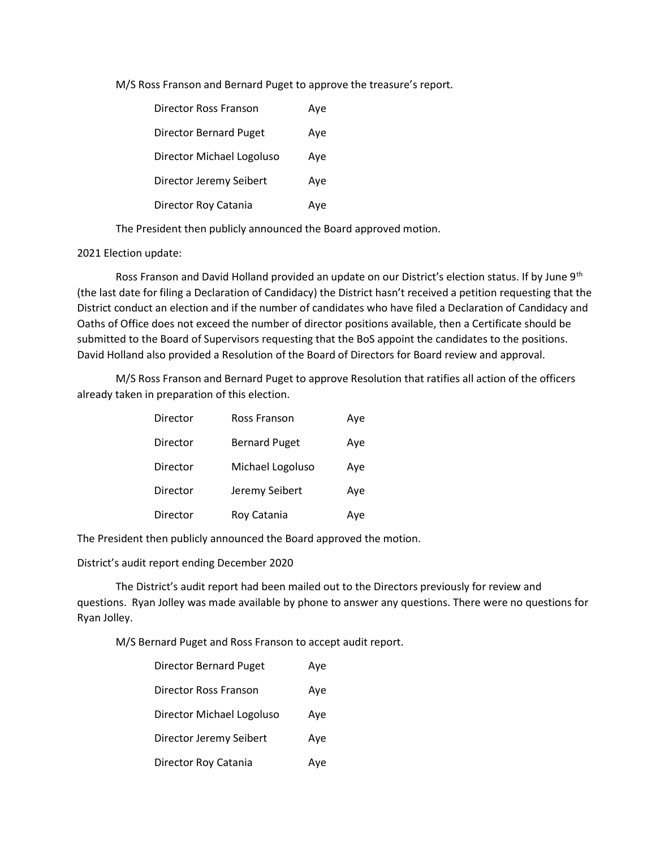M/S Ross Franson and Bernard Puget to approve the treasure's report.

| Director Ross Franson         | Aye |
|-------------------------------|-----|
| <b>Director Bernard Puget</b> | Aye |
| Director Michael Logoluso     | Aye |
| Director Jeremy Seibert       | Aye |
| Director Roy Catania          | Ave |

The President then publicly announced the Board approved motion.

## 2021 Election update:

Ross Franson and David Holland provided an update on our District's election status. If by June 9<sup>th</sup> (the last date for filing a Declaration of Candidacy) the District hasn't received a petition requesting that the District conduct an election and if the number of candidates who have filed a Declaration of Candidacy and Oaths of Office does not exceed the number of director positions available, then a Certificate should be submitted to the Board of Supervisors requesting that the BoS appoint the candidates to the positions. David Holland also provided a Resolution of the Board of Directors for Board review and approval.

 M/S Ross Franson and Bernard Puget to approve Resolution that ratifies all action of the officers already taken in preparation of this election.

| Director | Ross Franson         | Aye |
|----------|----------------------|-----|
| Director | <b>Bernard Puget</b> | Aye |
| Director | Michael Logoluso     | Aye |
| Director | Jeremy Seibert       | Aye |
| Director | Roy Catania          | Aye |

The President then publicly announced the Board approved the motion.

District's audit report ending December 2020

The District's audit report had been mailed out to the Directors previously for review and questions. Ryan Jolley was made available by phone to answer any questions. There were no questions for Ryan Jolley.

M/S Bernard Puget and Ross Franson to accept audit report.

| <b>Director Bernard Puget</b> | Aye |
|-------------------------------|-----|
| Director Ross Franson         | Aye |
| Director Michael Logoluso     | Aye |
| Director Jeremy Seibert       | Aye |
| Director Roy Catania          | Aye |